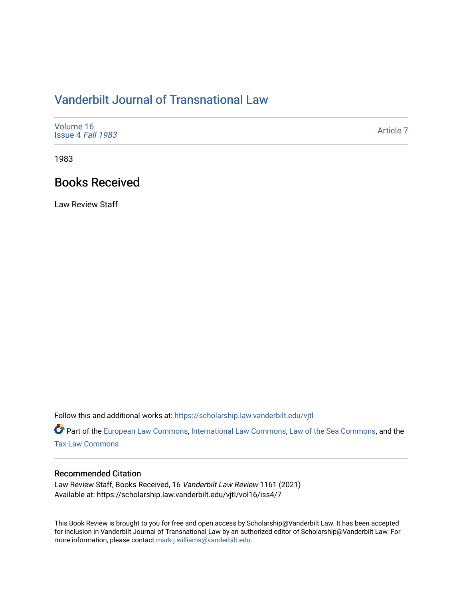## [Vanderbilt Journal of Transnational Law](https://scholarship.law.vanderbilt.edu/vjtl)

| Volume 16<br>Issue 4 Fall 1983 | Article 7 |
|--------------------------------|-----------|
|--------------------------------|-----------|

1983

### Books Received

Law Review Staff

Follow this and additional works at: [https://scholarship.law.vanderbilt.edu/vjtl](https://scholarship.law.vanderbilt.edu/vjtl?utm_source=scholarship.law.vanderbilt.edu%2Fvjtl%2Fvol16%2Fiss4%2F7&utm_medium=PDF&utm_campaign=PDFCoverPages) 

Part of the [European Law Commons,](https://network.bepress.com/hgg/discipline/1084?utm_source=scholarship.law.vanderbilt.edu%2Fvjtl%2Fvol16%2Fiss4%2F7&utm_medium=PDF&utm_campaign=PDFCoverPages) [International Law Commons](https://network.bepress.com/hgg/discipline/609?utm_source=scholarship.law.vanderbilt.edu%2Fvjtl%2Fvol16%2Fiss4%2F7&utm_medium=PDF&utm_campaign=PDFCoverPages), [Law of the Sea Commons](https://network.bepress.com/hgg/discipline/855?utm_source=scholarship.law.vanderbilt.edu%2Fvjtl%2Fvol16%2Fiss4%2F7&utm_medium=PDF&utm_campaign=PDFCoverPages), and the [Tax Law Commons](https://network.bepress.com/hgg/discipline/898?utm_source=scholarship.law.vanderbilt.edu%2Fvjtl%2Fvol16%2Fiss4%2F7&utm_medium=PDF&utm_campaign=PDFCoverPages)

### Recommended Citation

Law Review Staff, Books Received, 16 Vanderbilt Law Review 1161 (2021) Available at: https://scholarship.law.vanderbilt.edu/vjtl/vol16/iss4/7

This Book Review is brought to you for free and open access by Scholarship@Vanderbilt Law. It has been accepted for inclusion in Vanderbilt Journal of Transnational Law by an authorized editor of Scholarship@Vanderbilt Law. For more information, please contact [mark.j.williams@vanderbilt.edu](mailto:mark.j.williams@vanderbilt.edu).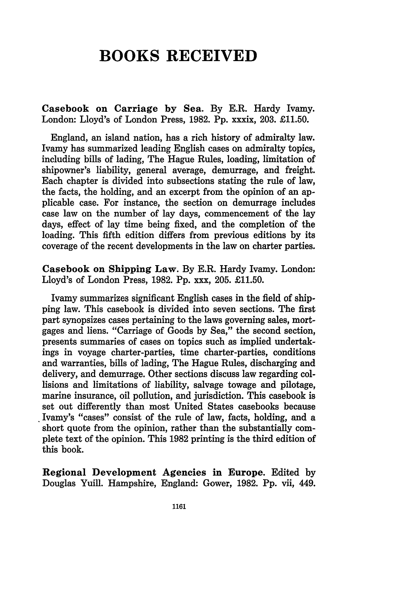# **BOOKS RECEIVED**

Casebook on Carriage **by** Sea. **By** E.R. Hardy Ivamy. London: Lloyd's of London Press, **1982. Pp.** xxxix, **203. £11.50.**

England, an island nation, has a rich history of admiralty law. Ivamy has summarized leading English cases on admiralty topics, including bills of lading, The Hague Rules, loading, limitation of shipowner's liability, general average, demurrage, and freight. Each chapter is divided into subsections stating the rule of law, the facts, the holding, and an excerpt from the opinion of an applicable case. For instance, the section on demurrage includes case law on the number of lay days, commencement of the lay days, effect of lay time being fixed, and the completion of the loading. This fifth edition differs from previous editions **by** its coverage of the recent developments in the law on charter parties.

Casebook on Shipping Law. **By** E.R. Hardy Ivamy. London: Lloyd's of London Press, **1982. Pp.** xxx, **205. £11.50.**

Ivamy summarizes significant English cases in the field of shipping law. This casebook is divided into seven sections. The first part synopsizes cases pertaining to the laws governing sales, mortgages and liens. "Carriage of Goods **by** Sea," the second section, presents summaries of cases on topics such as implied undertakings in voyage charter-parties, time charter-parties, conditions and warranties, bills of lading, The Hague Rules, discharging and delivery, and demurrage. Other sections discuss law regarding collisions and limitations of liability, salvage towage and pilotage, marine insurance, oil pollution, and jurisdiction. This casebook is set out differently than most United States casebooks because Ivamy's "cases" consist of the rule of law, facts, holding, and a short quote from the opinion, rather than the substantially complete text of the opinion. This **1982** printing is the third edition of this book.

**Regional Development Agencies in Europe.** Edited **by Douglas Yuill. Hampshire, England: Gower, 1982. Pp. vii, 449.**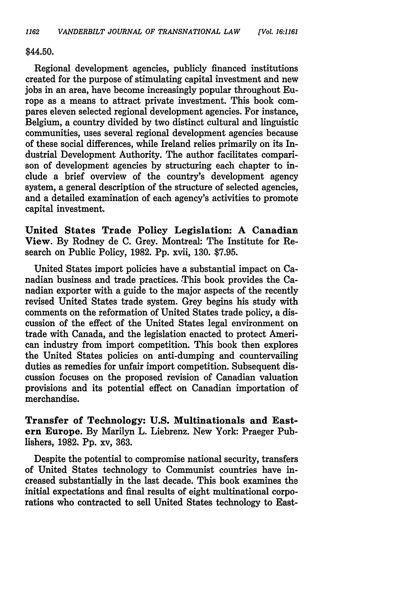#### \$44.50.

Regional development agencies, publicly financed institutions created for the purpose of stimulating capital investment and new jobs in an area, have become increasingly popular throughout Europe as a means to attract private investment. This book compares eleven selected regional development agencies. For instance, Belgium, a country divided by two distinct cultural and linguistic communities, uses several regional development agencies because of these social differences, while Ireland relies primarily on its Industrial Development Authority. The author facilitates comparison of development agencies by structuring each chapter to include a brief overview of the country's development agency system, a general description of the structure of selected agencies, and a detailed examination of each agency's activities to promote capital investment.

United States Trade Policy Legislation: A Canadian View. By Rodney de C. Grey. Montreal: The Institute for Research on Public Policy, 1982. Pp. xvii, 130. \$7.95.

United States import policies have a substantial impact on Canadian business and trade practices. This book provides the Canadian exporter with a guide to the major aspects of the recently revised United States trade system. Grey begins his study with comments on the reformation of United States trade policy, a discussion of the effect of the United States legal environment on trade with Canada, and the legislation enacted to protect American industry from import competition. This book then explores the United States policies on anti-dumping and countervailing duties as remedies for unfair import competition. Subsequent discussion focuses on the proposed revision of Canadian valuation provisions and its potential effect on Canadian importation of merchandise.

**Transfer of Technology: U.S. Multinationals and Eastern** Europe. **By** Marilyn L. Liebrenz. New York: Praeger Publishers, 1982. **Pp.** xv, **363.**

Despite the potential to compromise national security, transfers of United States technology to Communist countries have increased substantially in the last decade. This book examines the initial expectations and final results of eight multinational corporations who contracted to sell United States technology to East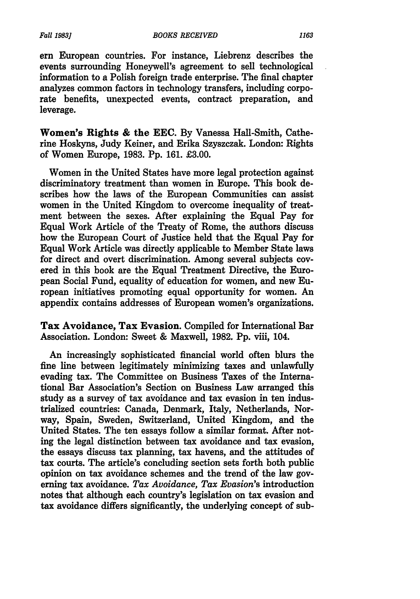*Fall 1983]*

**ern** European countries. For instance, Liebrenz describes the events surrounding Honeywell's agreement to sell technological information to a Polish foreign trade enterprise. The final chapter analyzes common factors in technology transfers, including corporate benefits, unexpected events, contract preparation, and leverage.

Women's Rights **&** the **EEC. By** Vanessa Hall-Smith, Catherine Hoskyns, Judy Keiner, and Erika Szyszczak. London: Rights of Women Europe, **1983. Pp. 161. £3.00.**

Women in the United States have more legal protection against discriminatory treatment than women in Europe. This book describes how the laws of the European Communities can assist women in the United Kingdom to overcome inequality of treatment between the sexes. After explaining the Equal Pay for Equal Work Article of the Treaty of Rome, the authors discuss how the European Court of Justice held that the Equal Pay for Equal Work Article was directly applicable to Member State laws for direct and overt discrimination. Among several subjects covered in this book are the Equal Treatment Directive, the European Social Fund, equality of education for women, and new European initiatives promoting equal opportunity for women. An appendix contains addresses of European women's organizations.

Tax Avoidance, Tax Evasion. Compiled for International Bar Association. London: Sweet & Maxwell, 1982. Pp. viii, 104.

An increasingly sophisticated financial world often blurs the fine line between legitimately minimizing taxes and unlawfully evading tax. The Committee on Business Taxes of the International Bar Association's Section on Business Law arranged this study as a survey of tax avoidance and tax evasion in ten industrialized countries: Canada, Denmark, Italy, Netherlands, Norway, Spain, Sweden, Switzerland, United Kingdom, and the United States. The ten essays follow a similar format. After noting the legal distinction between tax avoidance and tax evasion, the essays discuss tax planning, tax havens, and the attitudes of tax courts. The article's concluding section sets forth both public opinion on tax avoidance schemes and the trend of the law governing tax avoidance. *Tax Avoidance, Tax Evasion's* introduction notes that although each country's legislation on tax evasion and tax avoidance differs significantly, the underlying concept of sub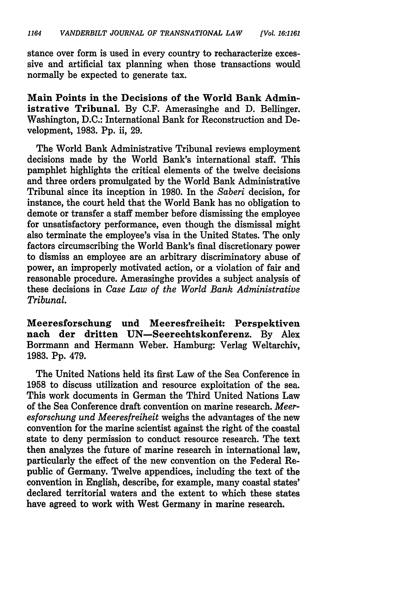stance over form is used in every country to recharacterize excessive and artificial tax planning when those transactions would normally be expected to generate tax.

Main Points in the Decisions of the World Bank Admin.. istrative Tribunal. By C.F. Amerasinghe and D. Bellinger. Washington, D.C.: International Bank for Reconstruction and Development, 1983. Pp. ii, 29.

The World Bank Administrative Tribunal reviews employment decisions made by the World Bank's international staff. This pamphlet highlights the critical elements of the twelve decisions and three orders promulgated by the World Bank Administrative Tribunal since its inception in 1980. In the *Saberi* decision, for instance, the court held that the World Bank has no obligation to demote or transfer a staff member before dismissing the employee for unsatisfactory performance, even though the dismissal might also terminate the employee's visa in the United States. The only factors circumscribing the World Bank's final discretionary power to dismiss an employee are an arbitrary discriminatory abuse of power, an improperly motivated action, or a violation of fair and reasonable procedure. Amerasinghe provides a subject analysis of these decisions in *Case Law of the World Bank Administrative Tribunal.*

Meeresforschung und Meeresfreiheit: Perspektiven nach der dritten UN-Seerechtskonferenz. By Alex Borrmann and Hermann Weber. Hamburg: Verlag Weltarchiv, 1983. Pp. 479.

The United Nations held its first Law of the Sea Conference in 1958 to discuss utilization and resource exploitation of the sea. This work documents in German the Third United Nations Law of the Sea Conference draft convention on marine research. *Meeresforschung und Meeresfreiheit* weighs the advantages of the new convention for the marine scientist against the right of the coastal state to deny permission to conduct resource research. The text then analyzes the future of marine research in international law, particularly the effect of the new convention on the Federal Republic of Germany. Twelve appendices, including the text of the convention in English, describe, for example, many coastal states' declared territorial waters and the extent to which these states have agreed to work with West Germany in marine research.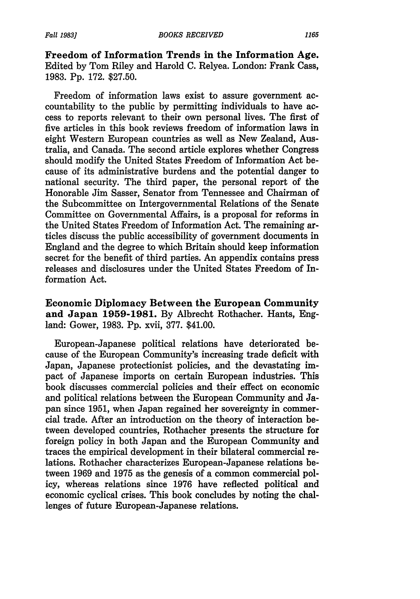**Freedom of Information Trends in the Information Age.** Edited **by** Tom Riley and Harold **C.** Relyea. London: Frank Cass, **1983. Pp. 172. \$27.50.**

Freedom of information laws exist to assure government accountability to the public **by** permitting individuals to have access to reports relevant to their own personal lives. The first of five articles in this book reviews freedom of information laws in eight Western European countries as well as New Zealand, Australia, and Canada. The second article explores whether Congress should modify the United States Freedom of Information Act because of its administrative burdens and the potential danger to national security. The third paper, the personal report of the Honorable Jim Sasser, Senator from Tennessee and Chairman of the Subcommittee on Intergovernmental Relations of the Senate Committee on Governmental Affairs, is a proposal for reforms in the United States Freedom of Information Act. The remaining articles discuss the public accessibility of government documents in England and the degree to which Britain should keep information secret for the benefit of third parties. An appendix contains press releases and disclosures under the United States Freedom of Information Act.

**Economic Diplomacy Between the European Community and Japan 1959-1981. By** Albrecht Rothacher. Hants, England: Gower, **1983. Pp.** xvii, **377.** \$41.00.

European-Japanese political relations have deteriorated because of the European Community's increasing trade deficit with Japan, Japanese protectionist policies, and the devastating impact of Japanese imports on certain European industries. This book discusses commercial policies and their effect on economic and political relations between the European Community and Japan since **1951,** when Japan regained her sovereignty in commercial trade. After an introduction on the theory of interaction between developed countries, Rothacher presents the structure for foreign policy in both Japan and the European Community and traces the empirical development in their bilateral commercial relations. Rothacher characterizes European-Japanese relations between **1969** and **1975** as the genesis of a common commercial policy, whereas relations since **1976** have reflected political and economic cyclical crises. This book concludes **by** noting the challenges of future European-Japanese relations.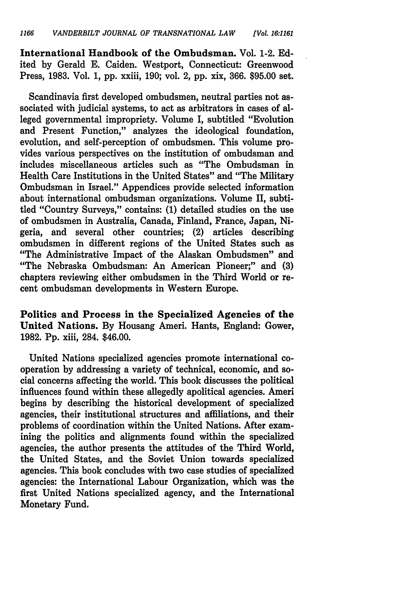International Handbook of the Ombudsman. Vol. 1-2. **Ed**ited **by** Gerald **E.** Caiden. Westport, Connecticut: Greenwood Press, **1983.** Vol. **1, pp.** xxiii, **190;** vol. 2, **pp.** xix, **366. \$95.00** set.

Scandinavia first developed ombudsmen, neutral parties not associated with judicial systems, to act as arbitrators in cases of alleged governmental impropriety. Volume I, subtitled "Evolution and Present Function," analyzes the ideological foundation, evolution, and self-perception of ombudsmen. This volume provides various perspectives on the institution of ombudsman and includes miscellaneous articles such as "The Ombudsman in Health Care Institutions in the United States" and "The Military Ombudsman in Israel." Appendices provide selected information about international ombudsman organizations. Volume II, subtitled "Country Surveys," contains: **(1)** detailed studies on the use of ombudsmen in Australia, Canada, Finland, France, Japan, Nigeria, and several other countries; (2) articles describing ombudsmen in different regions of the United States such as "The Administrative Impact of the Alaskan Ombudsmen" and "The Nebraska Ombudsman: An American Pioneer;" and **(3)** chapters reviewing either ombudsmen in the Third World or recent ombudsman developments in Western Europe.

Politics and Process in the Specialized Agencies **of the** United Nations. **By** Housang Ameri. Hants, England: Gower, **1982. Pp.** xiii, 284. \$46.00.

United Nations specialized agencies promote international cooperation **by** addressing a variety of technical, economic, and social concerns affecting the world. This book discusses the political influences found within these allegedly apolitical agencies. Ameri begins **by** describing the historical development of specialized agencies, their institutional structures and affiliations, and their problems of coordination within the United Nations. After examining the politics and alignments found within the specialized agencies, the author presents the attitudes of the Third World, the United States, and the Soviet Union towards specialized agencies. This book concludes with two case studies of specialized agencies: the International Labour Organization, which was the first United Nations specialized agency, and the International Monetary Fund.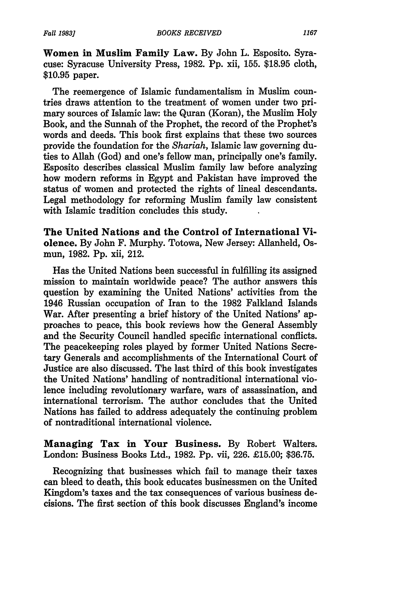Women **in** Muslim Family Law. By John L. Esposito. Syracuse: Syracuse University Press, **1982. Pp.** xii, **155. \$18.95** cloth, **\$10.95** paper.

The reemergence of Islamic fundamentalism in Muslim countries draws attention to the treatment of women under two primary sources of Islamic law: the Quran (Koran), the Muslim Holy Book, and the Sunnah of the Prophet, the record of the Prophet's words and deeds. This book first explains that these two sources provide the foundation for the *Shariah,* Islamic law governing duties to Allah (God) and one's fellow man, principally one's family. Esposito describes classical Muslim family law before analyzing how modern reforms in **Egypt** and Pakistan have improved the status of women and protected the rights of lineal descendants. Legal methodology for reforming Muslim family law consistent with Islamic tradition concludes this study.

**The United Nations and the Control of International Violence. By John F. Murphy.** Totowa, New Jersey: Allanheld, Os**mun, 1982. Pp. xii, 212.**

**Has the** United Nations been successful in fulfilling its **assigned** mission to maintain worldwide peace? The author answers this question **by** examining the United Nations' activities from the 1946 Russian occupation of Iran to the **1982** Falkland Islands War. After presenting a brief history of the United Nations' approaches to peace, this book reviews how the General Assembly and the Security Council handled specific international conflicts. The peacekeeping roles played **by** former United Nations Secretary Generals and accomplishments of the International Court of Justice are also discussed. The last third of this book investigates the United Nations' handling of nontraditional international violence including revolutionary warfare, wars of assassination, and international terrorism. The author concludes that the United Nations has failed to address adequately the continuing problem of nontraditional international violence.

**Managing Tax in Your Business. By Robert Walters.** London: Business Books Ltd., **1982. Pp.** vii, **226. £15.00; \$36.75.**

Recognizing that businesses which fail to manage their taxes can bleed to death, this book educates businessmen on the United Kingdom's taxes and the tax consequences of various business decisions. The first section of this book discusses England's income